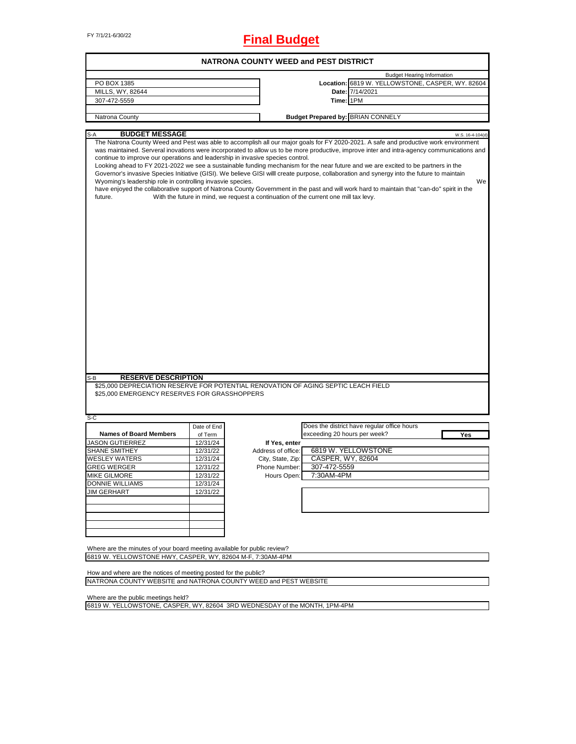FY 7/1/21-6/30/22 **Final Budget**

| <b>NATRONA COUNTY WEED and PEST DISTRICT</b>                                                                                                            |                     |                                                                                      |                                                                                                                                                                                                                                                                                                                                                                                                                                                                                                                                                                                                                                                                                                                          |  |  |  |  |
|---------------------------------------------------------------------------------------------------------------------------------------------------------|---------------------|--------------------------------------------------------------------------------------|--------------------------------------------------------------------------------------------------------------------------------------------------------------------------------------------------------------------------------------------------------------------------------------------------------------------------------------------------------------------------------------------------------------------------------------------------------------------------------------------------------------------------------------------------------------------------------------------------------------------------------------------------------------------------------------------------------------------------|--|--|--|--|
| PO BOX 1385<br>MILLS, WY, 82644                                                                                                                         |                     |                                                                                      | <b>Budget Hearing Information</b><br>Location: 6819 W. YELLOWSTONE, CASPER, WY. 82604<br>Date: 7/14/2021                                                                                                                                                                                                                                                                                                                                                                                                                                                                                                                                                                                                                 |  |  |  |  |
| 307-472-5559                                                                                                                                            |                     |                                                                                      | Time: 1PM                                                                                                                                                                                                                                                                                                                                                                                                                                                                                                                                                                                                                                                                                                                |  |  |  |  |
| Natrona County                                                                                                                                          |                     |                                                                                      | <b>Budget Prepared by: BRIAN CONNELY</b>                                                                                                                                                                                                                                                                                                                                                                                                                                                                                                                                                                                                                                                                                 |  |  |  |  |
|                                                                                                                                                         |                     |                                                                                      |                                                                                                                                                                                                                                                                                                                                                                                                                                                                                                                                                                                                                                                                                                                          |  |  |  |  |
| <b>BUDGET MESSAGE</b><br>$S-A$                                                                                                                          |                     |                                                                                      | W.S. 16-4-104(d)                                                                                                                                                                                                                                                                                                                                                                                                                                                                                                                                                                                                                                                                                                         |  |  |  |  |
| continue to improve our operations and leadership in invasive species control.<br>Wyoming's leadership role in controlling invasvie species.<br>future. |                     | With the future in mind, we request a continuation of the current one mill tax levy. | The Natrona County Weed and Pest was able to accomplish all our major goals for FY 2020-2021. A safe and productive work environment<br>was maintained. Serveral inovations were incorporated to allow us to be more productive, improve inter and intra-agency communications and<br>Looking ahead to FY 2021-2022 we see a sustainable funding mechanism for the near future and we are excited to be partners in the<br>Governor's invasive Species Initiative (GISI). We believe GISI will create purpose, collaboration and synergy into the future to maintain<br>We<br>have enjoyed the collaborative support of Natrona County Government in the past and will work hard to maintain that "can-do" spirit in the |  |  |  |  |
| <b>RESERVE DESCRIPTION</b><br>S-B                                                                                                                       |                     |                                                                                      |                                                                                                                                                                                                                                                                                                                                                                                                                                                                                                                                                                                                                                                                                                                          |  |  |  |  |
| \$25,000 DEPRECIATION RESERVE FOR POTENTIAL RENOVATION OF AGING SEPTIC LEACH FIELD<br>\$25,000 EMERGENCY RESERVES FOR GRASSHOPPERS                      |                     |                                                                                      |                                                                                                                                                                                                                                                                                                                                                                                                                                                                                                                                                                                                                                                                                                                          |  |  |  |  |
| $S-C$                                                                                                                                                   |                     |                                                                                      |                                                                                                                                                                                                                                                                                                                                                                                                                                                                                                                                                                                                                                                                                                                          |  |  |  |  |
| <b>Names of Board Members</b>                                                                                                                           | Date of End         |                                                                                      | Does the district have regular office hours<br>exceeding 20 hours per week?                                                                                                                                                                                                                                                                                                                                                                                                                                                                                                                                                                                                                                              |  |  |  |  |
| <b>JASON GUTIERREZ</b>                                                                                                                                  | of Term<br>12/31/24 | If Yes, enter                                                                        | Yes                                                                                                                                                                                                                                                                                                                                                                                                                                                                                                                                                                                                                                                                                                                      |  |  |  |  |
| <b>SHANE SMITHEY</b>                                                                                                                                    | 12/31/22            | Address of office:                                                                   | 6819 W. YELLOWSTONE                                                                                                                                                                                                                                                                                                                                                                                                                                                                                                                                                                                                                                                                                                      |  |  |  |  |
| <b>WESLEY WATERS</b>                                                                                                                                    | 12/31/24            | City, State, Zip:                                                                    | CASPER, WY, 82604                                                                                                                                                                                                                                                                                                                                                                                                                                                                                                                                                                                                                                                                                                        |  |  |  |  |
| <b>GREG WERGER</b>                                                                                                                                      | 12/31/22            | 307-472-5559<br>Phone Number:                                                        |                                                                                                                                                                                                                                                                                                                                                                                                                                                                                                                                                                                                                                                                                                                          |  |  |  |  |
| <b>MIKE GILMORE</b>                                                                                                                                     | 12/31/22            | 7:30AM-4PM<br>Hours Open:                                                            |                                                                                                                                                                                                                                                                                                                                                                                                                                                                                                                                                                                                                                                                                                                          |  |  |  |  |
| <b>DONNIE WILLIAMS</b>                                                                                                                                  | 12/31/24            |                                                                                      |                                                                                                                                                                                                                                                                                                                                                                                                                                                                                                                                                                                                                                                                                                                          |  |  |  |  |
| <b>JIM GERHART</b>                                                                                                                                      | 12/31/22            |                                                                                      |                                                                                                                                                                                                                                                                                                                                                                                                                                                                                                                                                                                                                                                                                                                          |  |  |  |  |
|                                                                                                                                                         |                     |                                                                                      |                                                                                                                                                                                                                                                                                                                                                                                                                                                                                                                                                                                                                                                                                                                          |  |  |  |  |
| Where are the minutes of your board meeting available for public review?<br>6819 W. YELLOWSTONE HWY, CASPER, WY, 82604 M-F, 7:30AM-4PM                  |                     |                                                                                      |                                                                                                                                                                                                                                                                                                                                                                                                                                                                                                                                                                                                                                                                                                                          |  |  |  |  |
|                                                                                                                                                         |                     |                                                                                      |                                                                                                                                                                                                                                                                                                                                                                                                                                                                                                                                                                                                                                                                                                                          |  |  |  |  |
| How and where are the notices of meeting posted for the public?<br>NATRONA COUNTY WEBSITE and NATRONA COUNTY WEED and PEST WEBSITE                      |                     |                                                                                      |                                                                                                                                                                                                                                                                                                                                                                                                                                                                                                                                                                                                                                                                                                                          |  |  |  |  |
| Where are the public meetings held?                                                                                                                     |                     |                                                                                      |                                                                                                                                                                                                                                                                                                                                                                                                                                                                                                                                                                                                                                                                                                                          |  |  |  |  |

 $\overline{\phantom{0}}$ 

6819 W. YELLOWSTONE, CASPER, WY, 82604 3RD WEDNESDAY of the MONTH, 1PM-4PM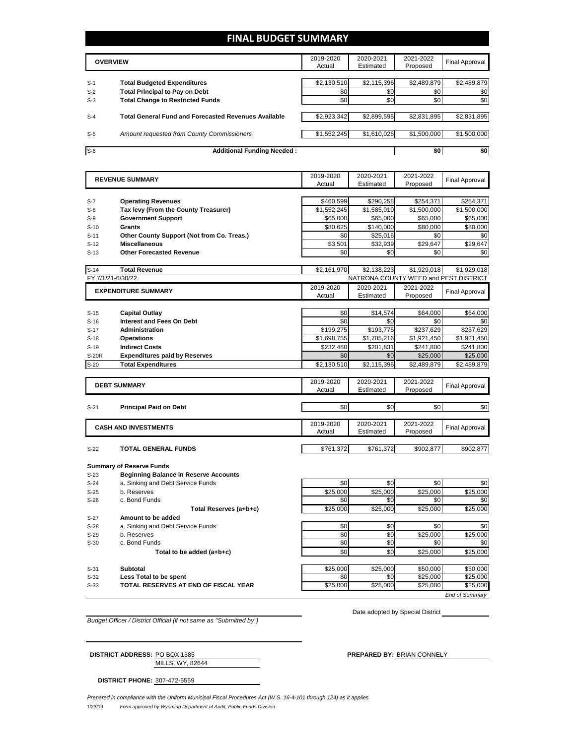## **FINAL BUDGET SUMMARY**

|       | <b>OVERVIEW</b>                                             |             | 2020-2021<br>Estimated | 2021-2022<br>Proposed | <b>Final Approval</b> |
|-------|-------------------------------------------------------------|-------------|------------------------|-----------------------|-----------------------|
|       |                                                             |             |                        |                       |                       |
| $S-1$ | <b>Total Budgeted Expenditures</b>                          | \$2,130,510 | \$2,115,396            | \$2,489,879           | \$2,489,879           |
| $S-2$ | <b>Total Principal to Pay on Debt</b>                       | \$0         | \$0                    | \$0                   | \$0                   |
| $S-3$ | <b>Total Change to Restricted Funds</b>                     | \$0         | \$0                    | \$0                   | \$0                   |
|       |                                                             |             |                        |                       |                       |
| $S-4$ | <b>Total General Fund and Forecasted Revenues Available</b> | \$2,923,342 | \$2,899,595            | \$2,831,895           | \$2,831,895           |
|       |                                                             |             |                        |                       |                       |
| $S-5$ | Amount requested from County Commissioners                  | \$1,552,245 | \$1,610,026            | \$1,500,000           | \$1,500,000           |
|       |                                                             |             |                        |                       |                       |
| $S-6$ | <b>Additional Funding Needed:</b>                           |             |                        | \$0                   | \$0                   |

| Proposed<br>Actual<br>Estimated<br>\$460,599<br>\$290,258<br>\$254,371<br>\$254,371<br><b>Operating Revenues</b><br>Tax levy (From the County Treasurer)<br>\$1,552,245<br>\$1,585,010<br>\$1,500,000<br>\$1,500,000<br><b>Government Support</b><br>\$65,000<br>\$65,000<br>\$65,000<br>\$65,000<br>\$140,000<br>\$80,000<br>Grants<br>\$80,625<br>\$80,000<br>Other County Support (Not from Co. Treas.)<br>\$0<br>\$0<br>\$25,016<br>\$0<br>\$3,501<br>\$29,647<br>\$29,647<br><b>Miscellaneous</b><br>\$32,939<br><b>Other Forecasted Revenue</b><br>\$0<br>\$0<br>\$0<br>\$0<br><b>Total Revenue</b><br>\$2,161,970<br>\$2,138,223<br>\$1,929,018<br>\$1,929,018<br>FY 7/1/21-6/30/22<br>NATRONA COUNTY WEED and PEST DISTRICT<br>2019-2020<br>2020-2021<br>2021-2022<br><b>EXPENDITURE SUMMARY</b><br><b>Final Approval</b><br>Estimated<br>Proposed<br>Actual<br>\$0<br>\$14.574<br>\$64,000<br>\$64,000<br><b>Capital Outlay</b><br><b>Interest and Fees On Debt</b><br>\$0<br>\$0<br>\$0<br>\$0<br>\$193,775<br><b>Administration</b><br>\$199,275<br>\$237,629<br>\$237,629<br>\$1,921,450<br>\$1,698,755<br>\$1,705,216<br>\$1,921,450<br><b>Operations</b><br>\$201,831<br><b>Indirect Costs</b><br>\$232,480<br>\$241,800<br>\$241,800<br>\$0<br>\$25,000<br><b>Expenditures paid by Reserves</b><br>\$0<br>\$25,000<br><b>Total Expenditures</b><br>\$2,130,510<br>\$2,115,396<br>\$2,489,879<br>\$2,489,879<br>2019-2020<br>2020-2021<br>2021-2022<br><b>DEBT SUMMARY</b><br><b>Final Approval</b><br>Actual<br>Estimated<br>Proposed<br>\$0<br>\$0<br>\$0<br>\$0<br>$S-21$<br><b>Principal Paid on Debt</b><br>2019-2020<br>2020-2021<br>2021-2022<br><b>CASH AND INVESTMENTS</b><br><b>Final Approval</b><br>Proposed<br>Actual<br>Estimated<br>\$761,372<br>TOTAL GENERAL FUNDS<br>\$761,372<br>\$902,877<br>\$902,877<br><b>Summary of Reserve Funds</b><br><b>Beginning Balance in Reserve Accounts</b><br>\$0<br>\$0<br>\$0<br>a. Sinking and Debt Service Funds<br>\$0<br>b. Reserves<br>\$25,000<br>\$25,000<br>\$25,000<br>\$25,000<br>\$0<br>\$0<br>\$0<br>c. Bond Funds<br>\$0<br>\$25,000<br>\$25,000<br>\$25,000<br>\$25,000<br>Total Reserves (a+b+c)<br>Amount to be added<br>\$0<br>\$0<br>\$0<br>a. Sinking and Debt Service Funds<br>\$0<br>\$0<br>\$0<br>\$25,000<br>\$25,000<br>b. Reserves<br>c. Bond Funds<br>\$0<br>\$0<br>\$0<br>\$0<br>\$0<br>\$0<br>\$25,000<br>\$25,000<br>Total to be added (a+b+c) |        | <b>REVENUE SUMMARY</b> | 2019-2020 | 2020-2021 | 2021-2022 | <b>Final Approval</b> |
|------------------------------------------------------------------------------------------------------------------------------------------------------------------------------------------------------------------------------------------------------------------------------------------------------------------------------------------------------------------------------------------------------------------------------------------------------------------------------------------------------------------------------------------------------------------------------------------------------------------------------------------------------------------------------------------------------------------------------------------------------------------------------------------------------------------------------------------------------------------------------------------------------------------------------------------------------------------------------------------------------------------------------------------------------------------------------------------------------------------------------------------------------------------------------------------------------------------------------------------------------------------------------------------------------------------------------------------------------------------------------------------------------------------------------------------------------------------------------------------------------------------------------------------------------------------------------------------------------------------------------------------------------------------------------------------------------------------------------------------------------------------------------------------------------------------------------------------------------------------------------------------------------------------------------------------------------------------------------------------------------------------------------------------------------------------------------------------------------------------------------------------------------------------------------------------------------------------------------------------------------------------------------------------------------------------------------------------------------------------------------------------------------------------------------------------------|--------|------------------------|-----------|-----------|-----------|-----------------------|
|                                                                                                                                                                                                                                                                                                                                                                                                                                                                                                                                                                                                                                                                                                                                                                                                                                                                                                                                                                                                                                                                                                                                                                                                                                                                                                                                                                                                                                                                                                                                                                                                                                                                                                                                                                                                                                                                                                                                                                                                                                                                                                                                                                                                                                                                                                                                                                                                                                                |        |                        |           |           |           |                       |
|                                                                                                                                                                                                                                                                                                                                                                                                                                                                                                                                                                                                                                                                                                                                                                                                                                                                                                                                                                                                                                                                                                                                                                                                                                                                                                                                                                                                                                                                                                                                                                                                                                                                                                                                                                                                                                                                                                                                                                                                                                                                                                                                                                                                                                                                                                                                                                                                                                                |        |                        |           |           |           |                       |
|                                                                                                                                                                                                                                                                                                                                                                                                                                                                                                                                                                                                                                                                                                                                                                                                                                                                                                                                                                                                                                                                                                                                                                                                                                                                                                                                                                                                                                                                                                                                                                                                                                                                                                                                                                                                                                                                                                                                                                                                                                                                                                                                                                                                                                                                                                                                                                                                                                                | $S-7$  |                        |           |           |           |                       |
|                                                                                                                                                                                                                                                                                                                                                                                                                                                                                                                                                                                                                                                                                                                                                                                                                                                                                                                                                                                                                                                                                                                                                                                                                                                                                                                                                                                                                                                                                                                                                                                                                                                                                                                                                                                                                                                                                                                                                                                                                                                                                                                                                                                                                                                                                                                                                                                                                                                | $S-8$  |                        |           |           |           |                       |
|                                                                                                                                                                                                                                                                                                                                                                                                                                                                                                                                                                                                                                                                                                                                                                                                                                                                                                                                                                                                                                                                                                                                                                                                                                                                                                                                                                                                                                                                                                                                                                                                                                                                                                                                                                                                                                                                                                                                                                                                                                                                                                                                                                                                                                                                                                                                                                                                                                                | $S-9$  |                        |           |           |           |                       |
|                                                                                                                                                                                                                                                                                                                                                                                                                                                                                                                                                                                                                                                                                                                                                                                                                                                                                                                                                                                                                                                                                                                                                                                                                                                                                                                                                                                                                                                                                                                                                                                                                                                                                                                                                                                                                                                                                                                                                                                                                                                                                                                                                                                                                                                                                                                                                                                                                                                | $S-10$ |                        |           |           |           |                       |
|                                                                                                                                                                                                                                                                                                                                                                                                                                                                                                                                                                                                                                                                                                                                                                                                                                                                                                                                                                                                                                                                                                                                                                                                                                                                                                                                                                                                                                                                                                                                                                                                                                                                                                                                                                                                                                                                                                                                                                                                                                                                                                                                                                                                                                                                                                                                                                                                                                                | $S-11$ |                        |           |           |           |                       |
|                                                                                                                                                                                                                                                                                                                                                                                                                                                                                                                                                                                                                                                                                                                                                                                                                                                                                                                                                                                                                                                                                                                                                                                                                                                                                                                                                                                                                                                                                                                                                                                                                                                                                                                                                                                                                                                                                                                                                                                                                                                                                                                                                                                                                                                                                                                                                                                                                                                | $S-12$ |                        |           |           |           |                       |
|                                                                                                                                                                                                                                                                                                                                                                                                                                                                                                                                                                                                                                                                                                                                                                                                                                                                                                                                                                                                                                                                                                                                                                                                                                                                                                                                                                                                                                                                                                                                                                                                                                                                                                                                                                                                                                                                                                                                                                                                                                                                                                                                                                                                                                                                                                                                                                                                                                                | $S-13$ |                        |           |           |           |                       |
|                                                                                                                                                                                                                                                                                                                                                                                                                                                                                                                                                                                                                                                                                                                                                                                                                                                                                                                                                                                                                                                                                                                                                                                                                                                                                                                                                                                                                                                                                                                                                                                                                                                                                                                                                                                                                                                                                                                                                                                                                                                                                                                                                                                                                                                                                                                                                                                                                                                | $S-14$ |                        |           |           |           |                       |
|                                                                                                                                                                                                                                                                                                                                                                                                                                                                                                                                                                                                                                                                                                                                                                                                                                                                                                                                                                                                                                                                                                                                                                                                                                                                                                                                                                                                                                                                                                                                                                                                                                                                                                                                                                                                                                                                                                                                                                                                                                                                                                                                                                                                                                                                                                                                                                                                                                                |        |                        |           |           |           |                       |
|                                                                                                                                                                                                                                                                                                                                                                                                                                                                                                                                                                                                                                                                                                                                                                                                                                                                                                                                                                                                                                                                                                                                                                                                                                                                                                                                                                                                                                                                                                                                                                                                                                                                                                                                                                                                                                                                                                                                                                                                                                                                                                                                                                                                                                                                                                                                                                                                                                                |        |                        |           |           |           |                       |
|                                                                                                                                                                                                                                                                                                                                                                                                                                                                                                                                                                                                                                                                                                                                                                                                                                                                                                                                                                                                                                                                                                                                                                                                                                                                                                                                                                                                                                                                                                                                                                                                                                                                                                                                                                                                                                                                                                                                                                                                                                                                                                                                                                                                                                                                                                                                                                                                                                                |        |                        |           |           |           |                       |
|                                                                                                                                                                                                                                                                                                                                                                                                                                                                                                                                                                                                                                                                                                                                                                                                                                                                                                                                                                                                                                                                                                                                                                                                                                                                                                                                                                                                                                                                                                                                                                                                                                                                                                                                                                                                                                                                                                                                                                                                                                                                                                                                                                                                                                                                                                                                                                                                                                                |        |                        |           |           |           |                       |
|                                                                                                                                                                                                                                                                                                                                                                                                                                                                                                                                                                                                                                                                                                                                                                                                                                                                                                                                                                                                                                                                                                                                                                                                                                                                                                                                                                                                                                                                                                                                                                                                                                                                                                                                                                                                                                                                                                                                                                                                                                                                                                                                                                                                                                                                                                                                                                                                                                                | $S-15$ |                        |           |           |           |                       |
|                                                                                                                                                                                                                                                                                                                                                                                                                                                                                                                                                                                                                                                                                                                                                                                                                                                                                                                                                                                                                                                                                                                                                                                                                                                                                                                                                                                                                                                                                                                                                                                                                                                                                                                                                                                                                                                                                                                                                                                                                                                                                                                                                                                                                                                                                                                                                                                                                                                | $S-16$ |                        |           |           |           |                       |
|                                                                                                                                                                                                                                                                                                                                                                                                                                                                                                                                                                                                                                                                                                                                                                                                                                                                                                                                                                                                                                                                                                                                                                                                                                                                                                                                                                                                                                                                                                                                                                                                                                                                                                                                                                                                                                                                                                                                                                                                                                                                                                                                                                                                                                                                                                                                                                                                                                                | $S-17$ |                        |           |           |           |                       |
|                                                                                                                                                                                                                                                                                                                                                                                                                                                                                                                                                                                                                                                                                                                                                                                                                                                                                                                                                                                                                                                                                                                                                                                                                                                                                                                                                                                                                                                                                                                                                                                                                                                                                                                                                                                                                                                                                                                                                                                                                                                                                                                                                                                                                                                                                                                                                                                                                                                | $S-18$ |                        |           |           |           |                       |
|                                                                                                                                                                                                                                                                                                                                                                                                                                                                                                                                                                                                                                                                                                                                                                                                                                                                                                                                                                                                                                                                                                                                                                                                                                                                                                                                                                                                                                                                                                                                                                                                                                                                                                                                                                                                                                                                                                                                                                                                                                                                                                                                                                                                                                                                                                                                                                                                                                                | $S-19$ |                        |           |           |           |                       |
|                                                                                                                                                                                                                                                                                                                                                                                                                                                                                                                                                                                                                                                                                                                                                                                                                                                                                                                                                                                                                                                                                                                                                                                                                                                                                                                                                                                                                                                                                                                                                                                                                                                                                                                                                                                                                                                                                                                                                                                                                                                                                                                                                                                                                                                                                                                                                                                                                                                | S-20R  |                        |           |           |           |                       |
|                                                                                                                                                                                                                                                                                                                                                                                                                                                                                                                                                                                                                                                                                                                                                                                                                                                                                                                                                                                                                                                                                                                                                                                                                                                                                                                                                                                                                                                                                                                                                                                                                                                                                                                                                                                                                                                                                                                                                                                                                                                                                                                                                                                                                                                                                                                                                                                                                                                | $S-20$ |                        |           |           |           |                       |
|                                                                                                                                                                                                                                                                                                                                                                                                                                                                                                                                                                                                                                                                                                                                                                                                                                                                                                                                                                                                                                                                                                                                                                                                                                                                                                                                                                                                                                                                                                                                                                                                                                                                                                                                                                                                                                                                                                                                                                                                                                                                                                                                                                                                                                                                                                                                                                                                                                                |        |                        |           |           |           |                       |
|                                                                                                                                                                                                                                                                                                                                                                                                                                                                                                                                                                                                                                                                                                                                                                                                                                                                                                                                                                                                                                                                                                                                                                                                                                                                                                                                                                                                                                                                                                                                                                                                                                                                                                                                                                                                                                                                                                                                                                                                                                                                                                                                                                                                                                                                                                                                                                                                                                                |        |                        |           |           |           |                       |
|                                                                                                                                                                                                                                                                                                                                                                                                                                                                                                                                                                                                                                                                                                                                                                                                                                                                                                                                                                                                                                                                                                                                                                                                                                                                                                                                                                                                                                                                                                                                                                                                                                                                                                                                                                                                                                                                                                                                                                                                                                                                                                                                                                                                                                                                                                                                                                                                                                                |        |                        |           |           |           |                       |
|                                                                                                                                                                                                                                                                                                                                                                                                                                                                                                                                                                                                                                                                                                                                                                                                                                                                                                                                                                                                                                                                                                                                                                                                                                                                                                                                                                                                                                                                                                                                                                                                                                                                                                                                                                                                                                                                                                                                                                                                                                                                                                                                                                                                                                                                                                                                                                                                                                                |        |                        |           |           |           |                       |
|                                                                                                                                                                                                                                                                                                                                                                                                                                                                                                                                                                                                                                                                                                                                                                                                                                                                                                                                                                                                                                                                                                                                                                                                                                                                                                                                                                                                                                                                                                                                                                                                                                                                                                                                                                                                                                                                                                                                                                                                                                                                                                                                                                                                                                                                                                                                                                                                                                                |        |                        |           |           |           |                       |
|                                                                                                                                                                                                                                                                                                                                                                                                                                                                                                                                                                                                                                                                                                                                                                                                                                                                                                                                                                                                                                                                                                                                                                                                                                                                                                                                                                                                                                                                                                                                                                                                                                                                                                                                                                                                                                                                                                                                                                                                                                                                                                                                                                                                                                                                                                                                                                                                                                                |        |                        |           |           |           |                       |
|                                                                                                                                                                                                                                                                                                                                                                                                                                                                                                                                                                                                                                                                                                                                                                                                                                                                                                                                                                                                                                                                                                                                                                                                                                                                                                                                                                                                                                                                                                                                                                                                                                                                                                                                                                                                                                                                                                                                                                                                                                                                                                                                                                                                                                                                                                                                                                                                                                                |        |                        |           |           |           |                       |
|                                                                                                                                                                                                                                                                                                                                                                                                                                                                                                                                                                                                                                                                                                                                                                                                                                                                                                                                                                                                                                                                                                                                                                                                                                                                                                                                                                                                                                                                                                                                                                                                                                                                                                                                                                                                                                                                                                                                                                                                                                                                                                                                                                                                                                                                                                                                                                                                                                                |        |                        |           |           |           |                       |
|                                                                                                                                                                                                                                                                                                                                                                                                                                                                                                                                                                                                                                                                                                                                                                                                                                                                                                                                                                                                                                                                                                                                                                                                                                                                                                                                                                                                                                                                                                                                                                                                                                                                                                                                                                                                                                                                                                                                                                                                                                                                                                                                                                                                                                                                                                                                                                                                                                                |        |                        |           |           |           |                       |
|                                                                                                                                                                                                                                                                                                                                                                                                                                                                                                                                                                                                                                                                                                                                                                                                                                                                                                                                                                                                                                                                                                                                                                                                                                                                                                                                                                                                                                                                                                                                                                                                                                                                                                                                                                                                                                                                                                                                                                                                                                                                                                                                                                                                                                                                                                                                                                                                                                                | $S-22$ |                        |           |           |           |                       |
|                                                                                                                                                                                                                                                                                                                                                                                                                                                                                                                                                                                                                                                                                                                                                                                                                                                                                                                                                                                                                                                                                                                                                                                                                                                                                                                                                                                                                                                                                                                                                                                                                                                                                                                                                                                                                                                                                                                                                                                                                                                                                                                                                                                                                                                                                                                                                                                                                                                |        |                        |           |           |           |                       |
|                                                                                                                                                                                                                                                                                                                                                                                                                                                                                                                                                                                                                                                                                                                                                                                                                                                                                                                                                                                                                                                                                                                                                                                                                                                                                                                                                                                                                                                                                                                                                                                                                                                                                                                                                                                                                                                                                                                                                                                                                                                                                                                                                                                                                                                                                                                                                                                                                                                |        |                        |           |           |           |                       |
|                                                                                                                                                                                                                                                                                                                                                                                                                                                                                                                                                                                                                                                                                                                                                                                                                                                                                                                                                                                                                                                                                                                                                                                                                                                                                                                                                                                                                                                                                                                                                                                                                                                                                                                                                                                                                                                                                                                                                                                                                                                                                                                                                                                                                                                                                                                                                                                                                                                | $S-23$ |                        |           |           |           |                       |
|                                                                                                                                                                                                                                                                                                                                                                                                                                                                                                                                                                                                                                                                                                                                                                                                                                                                                                                                                                                                                                                                                                                                                                                                                                                                                                                                                                                                                                                                                                                                                                                                                                                                                                                                                                                                                                                                                                                                                                                                                                                                                                                                                                                                                                                                                                                                                                                                                                                | $S-24$ |                        |           |           |           |                       |
|                                                                                                                                                                                                                                                                                                                                                                                                                                                                                                                                                                                                                                                                                                                                                                                                                                                                                                                                                                                                                                                                                                                                                                                                                                                                                                                                                                                                                                                                                                                                                                                                                                                                                                                                                                                                                                                                                                                                                                                                                                                                                                                                                                                                                                                                                                                                                                                                                                                | $S-25$ |                        |           |           |           |                       |
|                                                                                                                                                                                                                                                                                                                                                                                                                                                                                                                                                                                                                                                                                                                                                                                                                                                                                                                                                                                                                                                                                                                                                                                                                                                                                                                                                                                                                                                                                                                                                                                                                                                                                                                                                                                                                                                                                                                                                                                                                                                                                                                                                                                                                                                                                                                                                                                                                                                | $S-26$ |                        |           |           |           |                       |
|                                                                                                                                                                                                                                                                                                                                                                                                                                                                                                                                                                                                                                                                                                                                                                                                                                                                                                                                                                                                                                                                                                                                                                                                                                                                                                                                                                                                                                                                                                                                                                                                                                                                                                                                                                                                                                                                                                                                                                                                                                                                                                                                                                                                                                                                                                                                                                                                                                                |        |                        |           |           |           |                       |
|                                                                                                                                                                                                                                                                                                                                                                                                                                                                                                                                                                                                                                                                                                                                                                                                                                                                                                                                                                                                                                                                                                                                                                                                                                                                                                                                                                                                                                                                                                                                                                                                                                                                                                                                                                                                                                                                                                                                                                                                                                                                                                                                                                                                                                                                                                                                                                                                                                                | $S-27$ |                        |           |           |           |                       |
|                                                                                                                                                                                                                                                                                                                                                                                                                                                                                                                                                                                                                                                                                                                                                                                                                                                                                                                                                                                                                                                                                                                                                                                                                                                                                                                                                                                                                                                                                                                                                                                                                                                                                                                                                                                                                                                                                                                                                                                                                                                                                                                                                                                                                                                                                                                                                                                                                                                | $S-28$ |                        |           |           |           |                       |
|                                                                                                                                                                                                                                                                                                                                                                                                                                                                                                                                                                                                                                                                                                                                                                                                                                                                                                                                                                                                                                                                                                                                                                                                                                                                                                                                                                                                                                                                                                                                                                                                                                                                                                                                                                                                                                                                                                                                                                                                                                                                                                                                                                                                                                                                                                                                                                                                                                                | $S-29$ |                        |           |           |           |                       |
|                                                                                                                                                                                                                                                                                                                                                                                                                                                                                                                                                                                                                                                                                                                                                                                                                                                                                                                                                                                                                                                                                                                                                                                                                                                                                                                                                                                                                                                                                                                                                                                                                                                                                                                                                                                                                                                                                                                                                                                                                                                                                                                                                                                                                                                                                                                                                                                                                                                | $S-30$ |                        |           |           |           |                       |
| <b>Subtotal</b><br>\$25,000<br>\$25,000<br>\$50,000<br>\$50,000                                                                                                                                                                                                                                                                                                                                                                                                                                                                                                                                                                                                                                                                                                                                                                                                                                                                                                                                                                                                                                                                                                                                                                                                                                                                                                                                                                                                                                                                                                                                                                                                                                                                                                                                                                                                                                                                                                                                                                                                                                                                                                                                                                                                                                                                                                                                                                                |        |                        |           |           |           |                       |
| \$0<br>\$25,000<br>\$25,000<br>\$0<br>Less Total to be spent                                                                                                                                                                                                                                                                                                                                                                                                                                                                                                                                                                                                                                                                                                                                                                                                                                                                                                                                                                                                                                                                                                                                                                                                                                                                                                                                                                                                                                                                                                                                                                                                                                                                                                                                                                                                                                                                                                                                                                                                                                                                                                                                                                                                                                                                                                                                                                                   | $S-31$ |                        |           |           |           |                       |
|                                                                                                                                                                                                                                                                                                                                                                                                                                                                                                                                                                                                                                                                                                                                                                                                                                                                                                                                                                                                                                                                                                                                                                                                                                                                                                                                                                                                                                                                                                                                                                                                                                                                                                                                                                                                                                                                                                                                                                                                                                                                                                                                                                                                                                                                                                                                                                                                                                                | $S-32$ |                        |           |           |           |                       |
| \$25,000<br>\$25,000<br>TOTAL RESERVES AT END OF FISCAL YEAR<br>\$25,000<br>\$25,000                                                                                                                                                                                                                                                                                                                                                                                                                                                                                                                                                                                                                                                                                                                                                                                                                                                                                                                                                                                                                                                                                                                                                                                                                                                                                                                                                                                                                                                                                                                                                                                                                                                                                                                                                                                                                                                                                                                                                                                                                                                                                                                                                                                                                                                                                                                                                           | $S-33$ |                        |           |           |           |                       |

*Budget Officer / District Official (if not same as "Submitted by")*

Date adopted by Special District

*End of Summary*

| <b>DISTRICT ADDRESS: PO BOX 1385</b> | <b>PREPARED BY: BRIAN CONNELY</b> |
|--------------------------------------|-----------------------------------|
| MILLS, WY, 82644                     |                                   |

**DISTRICT PHONE:** 307-472-5559

1/23/19 *Form approved by Wyoming Department of Audit, Public Funds Division Prepared in compliance with the Uniform Municipal Fiscal Procedures Act (W.S. 16-4-101 through 124) as it applies.*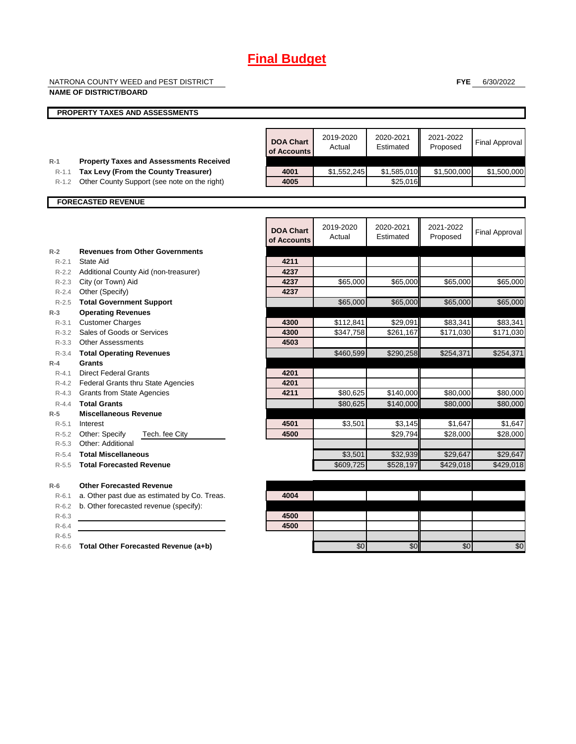NATRONA COUNTY WEED and PEST DISTRICT

**FYE** 6/30/2022

|                    | <b>NAME OF DISTRICT/BOARD</b>                  |                                 |                     |                        |                       |                       |
|--------------------|------------------------------------------------|---------------------------------|---------------------|------------------------|-----------------------|-----------------------|
|                    | <b>PROPERTY TAXES AND ASSESSMENTS</b>          |                                 |                     |                        |                       |                       |
|                    |                                                |                                 |                     |                        |                       |                       |
|                    |                                                | <b>DOA Chart</b><br>of Accounts | 2019-2020<br>Actual | 2020-2021<br>Estimated | 2021-2022<br>Proposed | <b>Final Approval</b> |
| $R-1$              | <b>Property Taxes and Assessments Received</b> |                                 |                     |                        |                       |                       |
| $R-1.1$            | Tax Levy (From the County Treasurer)           | 4001                            | \$1,552,245         | \$1,585,010            | \$1,500,000           | \$1,500,000           |
| R-1.2              | Other County Support (see note on the right)   | 4005                            |                     | \$25,016               |                       |                       |
|                    | <b>FORECASTED REVENUE</b>                      |                                 |                     |                        |                       |                       |
|                    |                                                |                                 |                     |                        |                       |                       |
|                    |                                                | <b>DOA Chart</b><br>of Accounts | 2019-2020<br>Actual | 2020-2021<br>Estimated | 2021-2022<br>Proposed | <b>Final Approval</b> |
| $R-2$              | <b>Revenues from Other Governments</b>         |                                 |                     |                        |                       |                       |
| $R - 2.1$          | State Aid                                      | 4211                            |                     |                        |                       |                       |
|                    | R-2.2 Additional County Aid (non-treasurer)    | 4237                            |                     |                        |                       |                       |
|                    | R-2.3 City (or Town) Aid                       | 4237                            | \$65,000            | \$65,000               | \$65,000              | \$65,000              |
| $R - 2.4$          | Other (Specify)                                | 4237                            |                     |                        |                       |                       |
| $R-2.5$            | <b>Total Government Support</b>                |                                 | \$65,000            | \$65,000               | \$65,000              | \$65,000              |
| $R-3$              | <b>Operating Revenues</b>                      |                                 |                     |                        |                       |                       |
| $R - 3.1$          | <b>Customer Charges</b>                        | 4300                            | \$112,841           | \$29,091               | \$83,341              | \$83,341              |
| $R - 3.2$          | Sales of Goods or Services                     | 4300                            | \$347,758           | \$261,167              | \$171,030             | \$171,030             |
|                    | R-3.3 Other Assessments                        | 4503                            |                     |                        |                       |                       |
| $R - 3.4$          | <b>Total Operating Revenues</b><br>Grants      |                                 | \$460.599           | \$290.258              | \$254,371             | \$254.371             |
| $R-4$<br>$R - 4.1$ | <b>Direct Federal Grants</b>                   | 4201                            |                     |                        |                       |                       |
| $R - 4.2$          | <b>Federal Grants thru State Agencies</b>      | 4201                            |                     |                        |                       |                       |
| R-4.3              | <b>Grants from State Agencies</b>              | 4211                            | \$80,625            | \$140,000              | \$80,000              | \$80,000              |
| $R - 4.4$          | <b>Total Grants</b>                            |                                 | \$80,625            | \$140,000              | \$80,000              | \$80,000              |
| $R-5$              | <b>Miscellaneous Revenue</b>                   |                                 |                     |                        |                       |                       |
| $R - 5.1$          | Interest                                       | 4501                            | \$3,501             | \$3,145                | \$1,647               | \$1,647               |
| R-5.2              | Other: Specify<br>Tech. fee City               | 4500                            |                     | \$29,794               | \$28,000              | \$28,000              |
| $R - 5.3$          | Other: Additional                              |                                 |                     |                        |                       |                       |
| $R-5.4$            | <b>Total Miscellaneous</b>                     |                                 | \$3,501             | \$32,939               | \$29,647              | \$29,647              |
| $R - 5.5$          | <b>Total Forecasted Revenue</b>                |                                 | \$609,725           | \$528,197              | \$429,018             | \$429,018             |
| $R-6$              | <b>Other Forecasted Revenue</b>                |                                 |                     |                        |                       |                       |
| $R-6.1$            | a. Other past due as estimated by Co. Treas.   | 4004                            |                     |                        |                       |                       |
| $R-6.2$            | b. Other forecasted revenue (specify):         |                                 |                     |                        |                       |                       |
| $R-6.3$            |                                                | 4500                            |                     |                        |                       |                       |
| $R - 6.4$          |                                                | 4500                            |                     |                        |                       |                       |
| $R-6.5$            |                                                |                                 |                     |                        |                       |                       |
| $R-6.6$            | Total Other Forecasted Revenue (a+b)           |                                 | \$0                 | \$0                    | \$0                   | \$0                   |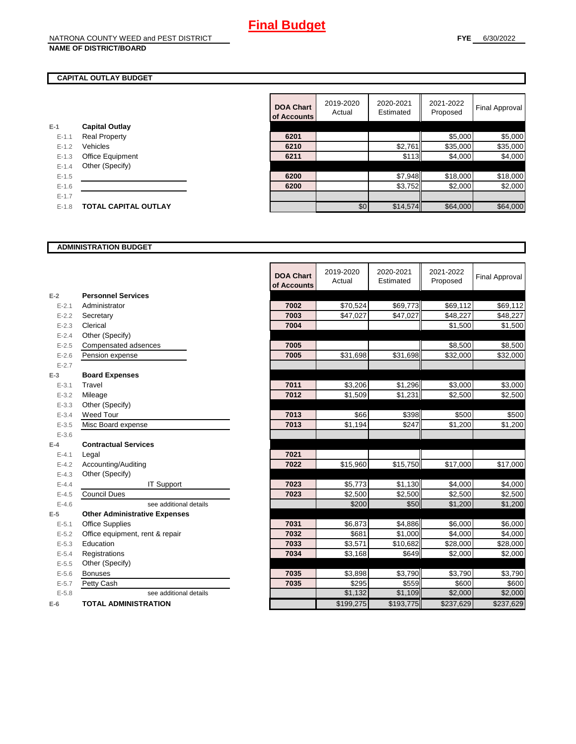## **CAPITAL OUTLAY BUDGET**

| F-1     | <b>Capital Outlay</b>       |
|---------|-----------------------------|
| $F-11$  | <b>Real Property</b>        |
| $F-12$  | Vehicles                    |
| $F-1.3$ | <b>Office Equipment</b>     |
| $F-14$  | Other (Specify)             |
| $F-1.5$ |                             |
| $F-16$  |                             |
| $F-17$  |                             |
| $F-1.8$ | <b>TOTAL CAPITAL OUTLAY</b> |
|         |                             |

| 2019-2020<br>2020-2021<br>2021-2022<br><b>DOA Chart</b><br>Estimated<br>Actual<br>Proposed<br>of Accounts<br><b>Capital Outlay</b><br>\$5,000<br>6201<br><b>Real Property</b><br>$E - 1.1$<br>Vehicles<br>\$2,761<br>\$35,000<br>$E - 1.2$<br>6210<br>\$113<br>6211<br>\$4,000<br>Office Equipment<br>$E-1.3$<br>Other (Specify)<br>$E - 1.4$<br>\$7,948<br>\$18,000<br>6200<br>$E-1.5$<br>\$3,752<br>\$2,000<br>6200<br>$E - 1.6$<br>$E - 1.7$<br>\$64,000<br><b>TOTAL CAPITAL OUTLAY</b><br>\$14,574<br>$E-1.8$ |  |     |  |                |
|-------------------------------------------------------------------------------------------------------------------------------------------------------------------------------------------------------------------------------------------------------------------------------------------------------------------------------------------------------------------------------------------------------------------------------------------------------------------------------------------------------------------|--|-----|--|----------------|
|                                                                                                                                                                                                                                                                                                                                                                                                                                                                                                                   |  |     |  | Final Approval |
|                                                                                                                                                                                                                                                                                                                                                                                                                                                                                                                   |  |     |  |                |
|                                                                                                                                                                                                                                                                                                                                                                                                                                                                                                                   |  |     |  | \$5,000        |
|                                                                                                                                                                                                                                                                                                                                                                                                                                                                                                                   |  |     |  | \$35,000       |
|                                                                                                                                                                                                                                                                                                                                                                                                                                                                                                                   |  |     |  | \$4,000        |
|                                                                                                                                                                                                                                                                                                                                                                                                                                                                                                                   |  |     |  |                |
|                                                                                                                                                                                                                                                                                                                                                                                                                                                                                                                   |  |     |  | \$18,000       |
|                                                                                                                                                                                                                                                                                                                                                                                                                                                                                                                   |  |     |  | \$2,000        |
|                                                                                                                                                                                                                                                                                                                                                                                                                                                                                                                   |  |     |  |                |
|                                                                                                                                                                                                                                                                                                                                                                                                                                                                                                                   |  | \$0 |  | \$64,000       |

#### **ADMINISTRATION BUDGET**

|           |                                      | <b>DOA Chart</b><br>of Accounts | 2019-2020<br>Actual | 2020-2021<br>Estimated | 2021-2022<br>Proposed | <b>Final Approval</b> |
|-----------|--------------------------------------|---------------------------------|---------------------|------------------------|-----------------------|-----------------------|
| $E-2$     | <b>Personnel Services</b>            |                                 |                     |                        |                       |                       |
| $E - 2.1$ | Administrator                        | 7002                            | \$70,524            | \$69,773               | \$69,112              | \$69,112              |
| $E - 2.2$ | Secretary                            | 7003                            | \$47,027            | \$47,027               | \$48,227              | \$48,227              |
| $E - 2.3$ | Clerical                             | 7004                            |                     |                        | \$1,500               | \$1,500               |
| $E - 2.4$ | Other (Specify)                      |                                 |                     |                        |                       |                       |
| $E - 2.5$ | Compensated adsences                 | 7005                            |                     |                        | \$8,500               | \$8,500               |
| $E - 2.6$ | Pension expense                      | 7005                            | \$31,698            | \$31,698               | \$32,000              | \$32,000              |
| $E - 2.7$ |                                      |                                 |                     |                        |                       |                       |
| $E-3$     | <b>Board Expenses</b>                |                                 |                     |                        |                       |                       |
| $E - 3.1$ | Travel                               | 7011                            | \$3,206             | \$1,296                | \$3,000               | \$3,000               |
| $E - 3.2$ | Mileage                              | 7012                            | \$1,509             | \$1,231                | \$2,500               | \$2,500               |
| $E - 3.3$ | Other (Specify)                      |                                 |                     |                        |                       |                       |
| $E - 3.4$ | Weed Tour                            | 7013                            | \$66                | \$398                  | \$500                 | \$500                 |
| $E - 3.5$ | Misc Board expense                   | 7013                            | \$1,194             | \$247                  | $\overline{$}1,200$   | \$1,200               |
| $E - 3.6$ |                                      |                                 |                     |                        |                       |                       |
| $E-4$     | <b>Contractual Services</b>          |                                 |                     |                        |                       |                       |
| $E - 4.1$ | Legal                                | 7021                            |                     |                        |                       |                       |
| $E - 4.2$ | Accounting/Auditing                  | 7022                            | \$15,960            | \$15,750               | \$17,000              | \$17,000              |
| $E - 4.3$ | Other (Specify)                      |                                 |                     |                        |                       |                       |
| $E-4.4$   | <b>IT Support</b>                    | 7023                            | \$5,773             | \$1,130                | \$4,000               | \$4,000               |
| $E - 4.5$ | <b>Council Dues</b>                  | 7023                            | \$2,500             | \$2,500                | $\overline{$}2,500$   | \$2,500               |
| $E-4.6$   | see additional details               |                                 | \$200               | \$50                   | \$1,200               | \$1,200               |
| $E-5$     | <b>Other Administrative Expenses</b> |                                 |                     |                        |                       |                       |
| $E - 5.1$ | <b>Office Supplies</b>               | 7031                            | \$6,873             | \$4,886                | \$6,000               | \$6,000               |
| $E - 5.2$ | Office equipment, rent & repair      | 7032                            | \$681               | \$1,000                | \$4,000               | \$4,000               |
| $E - 5.3$ | Education                            | 7033                            | \$3,571             | \$10,682               | \$28,000              | \$28,000              |
| $E - 5.4$ | Registrations                        | 7034                            | \$3,168             | \$649                  | \$2,000               | \$2,000               |
| $E-5.5$   | Other (Specify)                      |                                 |                     |                        |                       |                       |
| $E-5.6$   | <b>Bonuses</b>                       | 7035                            | \$3,898             | \$3,790                | \$3,790               | \$3,790               |
| $E - 5.7$ | Petty Cash                           | 7035                            | \$295               | \$559                  | \$600                 | \$600                 |
| $E - 5.8$ | see additional details               |                                 | \$1,132             | \$1,109                | \$2,000               | \$2,000               |
| $E-6$     | <b>TOTAL ADMINISTRATION</b>          |                                 | \$199,275           | \$193,775              | \$237.629             | \$237,629             |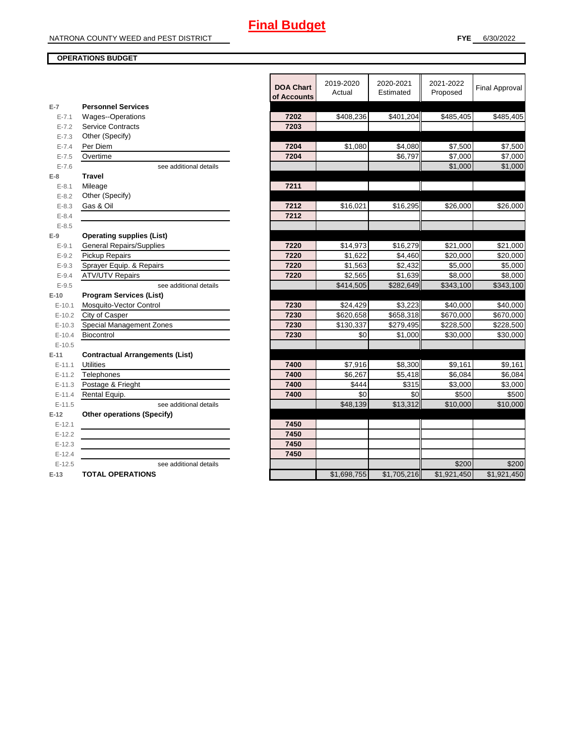## **OPERATIONS BUDGET**

| $E-7$      | <b>Personnel Services</b>              | <b>DOA Chart</b><br>of Accounts | 2019-2020<br>Actual  | 2020-2021<br>Estimated | 2021-2022<br>Proposed | <b>Final Approval</b> |
|------------|----------------------------------------|---------------------------------|----------------------|------------------------|-----------------------|-----------------------|
| $E - 7.1$  | <b>Wages--Operations</b>               | 7202                            | \$408,236            | \$401,204              | \$485,405             | \$485,405             |
| $E - 7.2$  | <b>Service Contracts</b>               | 7203                            |                      |                        |                       |                       |
| $E - 7.3$  | Other (Specify)                        |                                 |                      |                        |                       |                       |
| $E - 7.4$  | Per Diem                               | 7204                            | \$1,080              | \$4,080                | \$7,500               | \$7,500               |
| $E - 7.5$  | Overtime                               | 7204                            |                      | \$6,797                | \$7,000               | \$7,000               |
| $E - 7.6$  | see additional details                 |                                 |                      |                        | \$1,000               | \$1,000               |
| $E-8$      | <b>Travel</b>                          |                                 |                      |                        |                       |                       |
| $E - 8.1$  | Mileage                                | 7211                            |                      |                        |                       |                       |
| $E - 8.2$  | Other (Specify)                        |                                 |                      |                        |                       |                       |
| $E - 8.3$  | Gas & Oil                              | 7212                            | \$16,021             | \$16,295               | \$26,000              | \$26,000              |
| $E - 8.4$  |                                        | 7212                            |                      |                        |                       |                       |
| $E - 8.5$  |                                        |                                 |                      |                        |                       |                       |
| $E-9$      | <b>Operating supplies (List)</b>       |                                 |                      |                        |                       |                       |
| $E - 9.1$  | <b>General Repairs/Supplies</b>        | 7220                            | $\overline{$}14,973$ | \$16,279               | \$21,000              | \$21,000              |
| $E - 9.2$  | Pickup Repairs                         | 7220                            | \$1,622              | \$4,460                | \$20,000              | \$20,000              |
| $E - 9.3$  | Sprayer Equip. & Repairs               | 7220                            | \$1,563              | \$2,432                | \$5,000               | \$5,000               |
| $E - 9.4$  | <b>ATV/UTV Repairs</b>                 | 7220                            | \$2,565              | \$1,639                | \$8,000               | \$8,000               |
| $E-9.5$    | see additional details                 |                                 | \$414,505            | \$282,649              | \$343,100             | \$343,100             |
| $E-10$     | <b>Program Services (List)</b>         |                                 |                      |                        |                       |                       |
| $E - 10.1$ | Mosquito-Vector Control                | 7230                            | \$24,429             | \$3.223                | \$40,000              | \$40,000              |
| $E-10.2$   | City of Casper                         | 7230                            | \$620,658            | \$658,318              | \$670,000             | \$670,000             |
| $E-10.3$   | Special Management Zones               | 7230                            | \$130,337            | \$279,495              | \$228,500             | \$228,500             |
| $E - 10.4$ | Biocontrol                             | 7230                            | \$0                  | \$1,000                | \$30,000              | \$30,000              |
| $E-10.5$   |                                        |                                 |                      |                        |                       |                       |
| $E-11$     | <b>Contractual Arrangements (List)</b> |                                 |                      |                        |                       |                       |
| $E - 11.1$ | <b>Utilities</b>                       | 7400                            | \$7,916              | \$8.300                | \$9,161               | \$9,161               |
| $E - 11.2$ | Telephones                             | 7400                            | \$6,267              | \$5,418                | \$6,084               | \$6,084               |
| $E - 11.3$ | Postage & Frieght                      | 7400                            | \$444                | \$315                  | \$3,000               | \$3,000               |
| $E-11.4$   | Rental Equip.                          | 7400                            | \$0                  | \$0                    | \$500                 | \$500                 |
| $E-11.5$   | see additional details                 |                                 | \$48,139             | \$13,312               | \$10,000              | \$10,000              |
| $E-12$     | <b>Other operations (Specify)</b>      |                                 |                      |                        |                       |                       |
| $E-12.1$   |                                        | 7450                            |                      |                        |                       |                       |
| $E-12.2$   |                                        | 7450                            |                      |                        |                       |                       |
| $E-12.3$   |                                        | 7450                            |                      |                        |                       |                       |
| $E-12.4$   |                                        | 7450                            |                      |                        |                       |                       |
| $E-12.5$   | see additional details                 |                                 |                      |                        | \$200                 | \$200                 |
| $E-13$     | <b>TOTAL OPERATIONS</b>                |                                 | \$1,698,755          | \$1,705,216            | \$1,921,450           | \$1,921,450           |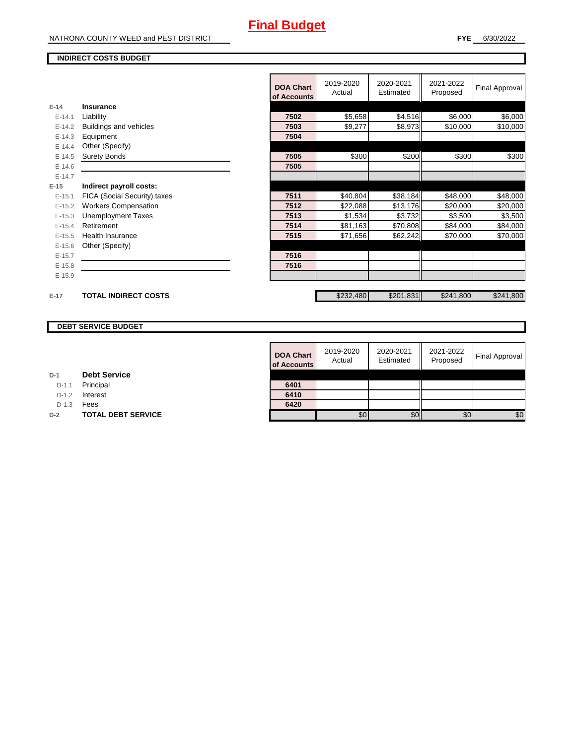#### **INDIRECT COSTS BUDGET**

|          |                              | <b>DOA Chart</b><br>of Accounts | 2019-2020<br>Actual | 2020-2021<br>Estimated | 2021-2022<br>Proposed | <b>Final Approval</b> |
|----------|------------------------------|---------------------------------|---------------------|------------------------|-----------------------|-----------------------|
| $E-14$   | <b>Insurance</b>             |                                 |                     |                        |                       |                       |
| $E-14.1$ | Liability                    | 7502                            | \$5,658             | \$4,516                | \$6,000               | \$6,000               |
| $E-14.2$ | Buildings and vehicles       | 7503                            | \$9,277             | \$8,973                | \$10,000              | \$10,000              |
| $E-14.3$ | Equipment                    | 7504                            |                     |                        |                       |                       |
| $E-14.4$ | Other (Specify)              |                                 |                     |                        |                       |                       |
| $E-14.5$ | <b>Surety Bonds</b>          | 7505                            | \$300               | \$200                  | \$300                 | \$300                 |
| $E-14.6$ |                              | 7505                            |                     |                        |                       |                       |
| $E-14.7$ |                              |                                 |                     |                        |                       |                       |
| $E-15$   | Indirect payroll costs:      |                                 |                     |                        |                       |                       |
| $E-15.1$ | FICA (Social Security) taxes | 7511                            | \$40,804            | \$38,184               | \$48,000              | \$48,000              |
| $E-15.2$ | <b>Workers Compensation</b>  | 7512                            | \$22,088            | \$13,176               | \$20,000              | \$20,000              |
| $E-15.3$ | <b>Unemployment Taxes</b>    | 7513                            | \$1,534             | \$3,732                | \$3,500               | \$3,500               |
| $E-15.4$ | Retirement                   | 7514                            | \$81,163            | \$70,808               | \$84,000              | \$84,000              |
| $E-15.5$ | <b>Health Insurance</b>      | 7515                            | \$71,656            | \$62,242               | \$70,000              | \$70,000              |
| $E-15.6$ | Other (Specify)              |                                 |                     |                        |                       |                       |
| $E-15.7$ |                              | 7516                            |                     |                        |                       |                       |
| $E-15.8$ |                              | 7516                            |                     |                        |                       |                       |
| $E-15.9$ |                              |                                 |                     |                        |                       |                       |
| $E-17$   | <b>TOTAL INDIRECT COSTS</b>  |                                 | \$232,480           | \$201,831              | \$241,800             | \$241,800             |

## **DEBT SERVICE BUDGET**

| <b>DOA Chart</b><br>of Accounts | 2019-2020<br>Actual | 2020-2021<br>Estimated | 2021-2022<br>Proposed | <b>Final Approval</b> |
|---------------------------------|---------------------|------------------------|-----------------------|-----------------------|
|                                 |                     |                        |                       |                       |
| 6401                            |                     |                        |                       |                       |
| 6410                            |                     |                        |                       |                       |
| 6420                            |                     |                        |                       |                       |
|                                 | \$0                 |                        | \$0                   | \$0                   |

D-1.1 Principal

D-1.2 **Interest** 

D-1.3 **Fees** 

**D-2 TOTAL DEBT SERVICE**